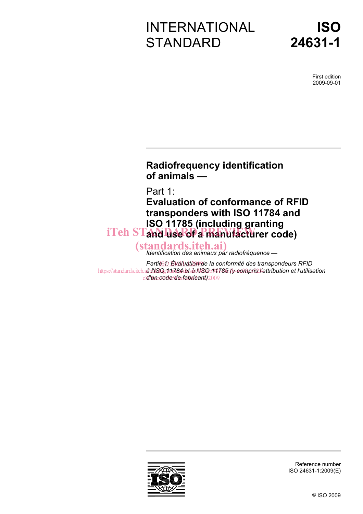## INTERNATIONAL **STANDARD**

# **ISO 24631-1**

First edition 2009-09-01

### **Radiofrequency identification of animals —**

Part 1:

**Evaluation of conformance of RFID transponders with ISO 11784 and ISO 11785 (including granting**  iTeh STand Use of a manufacturer code)

# *Identification des animaux par radiofréquence —*  (standards.iteh.ai)

*Partie 1: Évaluation de la conformité des transpondeurs RFID*  ISO 24631-1:2009 https://standards.iteh.a**i///SOg/t/i784/etsa//l/SOb91785 (y-compris//attribution et l'utilisation** *d'un code de fabricant)*  c871aee99bc9/iso-24631-1-2009



Reference number ISO 24631-1:2009(E)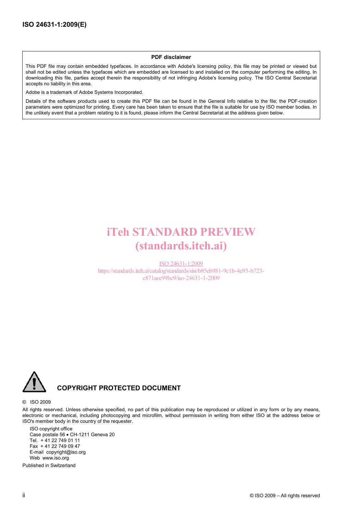#### **PDF disclaimer**

This PDF file may contain embedded typefaces. In accordance with Adobe's licensing policy, this file may be printed or viewed but shall not be edited unless the typefaces which are embedded are licensed to and installed on the computer performing the editing. In downloading this file, parties accept therein the responsibility of not infringing Adobe's licensing policy. The ISO Central Secretariat accepts no liability in this area.

Adobe is a trademark of Adobe Systems Incorporated.

Details of the software products used to create this PDF file can be found in the General Info relative to the file; the PDF-creation parameters were optimized for printing. Every care has been taken to ensure that the file is suitable for use by ISO member bodies. In the unlikely event that a problem relating to it is found, please inform the Central Secretariat at the address given below.

### iTeh STANDARD PREVIEW (standards.iteh.ai)

ISO 24631-1:2009 https://standards.iteh.ai/catalog/standards/sist/b85eb981-9c1b-4e93-b723 c871aee99bc9/iso-24631-1-2009



#### **COPYRIGHT PROTECTED DOCUMENT**

#### © ISO 2009

All rights reserved. Unless otherwise specified, no part of this publication may be reproduced or utilized in any form or by any means, electronic or mechanical, including photocopying and microfilm, without permission in writing from either ISO at the address below or ISO's member body in the country of the requester.

ISO copyright office Case postale 56 • CH-1211 Geneva 20 Tel. + 41 22 749 01 11 Fax + 41 22 749 09 47 E-mail copyright@iso.org Web www.iso.org

Published in Switzerland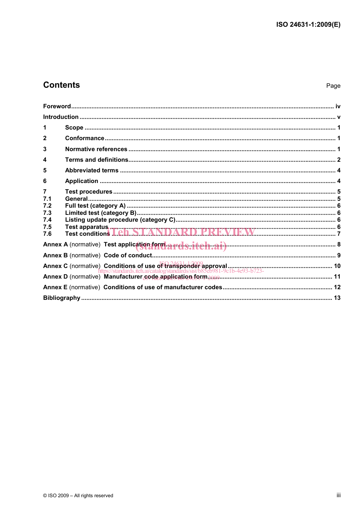### **Contents**

| 1                                                        |                                                         |  |
|----------------------------------------------------------|---------------------------------------------------------|--|
| $\mathbf{2}$                                             |                                                         |  |
| 3                                                        |                                                         |  |
| 4                                                        |                                                         |  |
| 5                                                        |                                                         |  |
| 6                                                        |                                                         |  |
| $\overline{7}$<br>7.1<br>7.2<br>7.3<br>7.4<br>7.5<br>7.6 | Test apparatus.<br>Test conditions Teh STANDARD PREVIEW |  |
|                                                          |                                                         |  |
|                                                          |                                                         |  |
|                                                          |                                                         |  |
|                                                          |                                                         |  |
|                                                          |                                                         |  |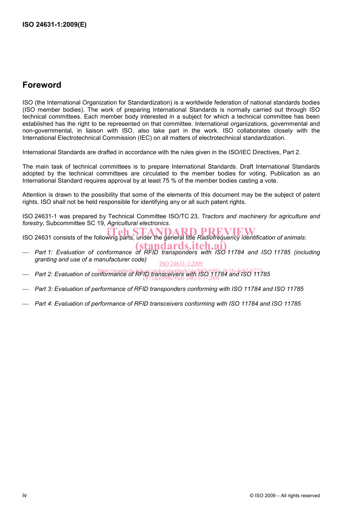### **Foreword**

ISO (the International Organization for Standardization) is a worldwide federation of national standards bodies (ISO member bodies). The work of preparing International Standards is normally carried out through ISO technical committees. Each member body interested in a subject for which a technical committee has been established has the right to be represented on that committee. International organizations, governmental and non-governmental, in liaison with ISO, also take part in the work. ISO collaborates closely with the International Electrotechnical Commission (IEC) on all matters of electrotechnical standardization.

International Standards are drafted in accordance with the rules given in the ISO/IEC Directives, Part 2.

The main task of technical committees is to prepare International Standards. Draft International Standards adopted by the technical committees are circulated to the member bodies for voting. Publication as an International Standard requires approval by at least 75 % of the member bodies casting a vote.

Attention is drawn to the possibility that some of the elements of this document may be the subject of patent rights. ISO shall not be held responsible for identifying any or all such patent rights.

ISO 24631-1 was prepared by Technical Committee ISO/TC 23, *Tractors and machinery for agriculture and forestry*, Subcommittee SC 19, *Agricultural electronics*.

**ISO 24631 consists of the following parts, under the general title** *Radiofrequency identification of animals***:** (standards.iteh.ai)

- Part 1: Evaluation of conformance of RFID transponders with ISO 11784 and ISO 11785 (including *granting and use of a manufacturer code)*  ISO 24631-1:2009
- ⎯ *Part 2: Evaluation of conformance of RFID transceivers with ISO 11784 and ISO 11785*  https://standards.iteh.ai/catalog/standards/sist/b85eb981-9c1b-4e93-b723 c871aee99bc9/iso-24631-1-2009
- Part 3: Evaluation of performance of RFID transponders conforming with ISO 11784 and ISO 11785
- Part 4: Evaluation of performance of RFID transceivers conforming with ISO 11784 and ISO 11785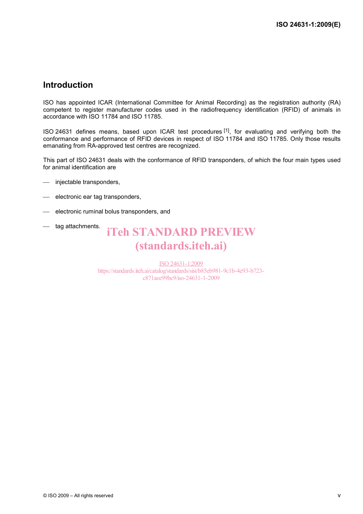### **Introduction**

ISO has appointed ICAR (International Committee for Animal Recording) as the registration authority (RA) competent to register manufacturer codes used in the radiofrequency identification (RFID) of animals in accordance with ISO 11784 and ISO 11785.

ISO 24631 defines means, based upon ICAR test procedures  $[1]$ , for evaluating and verifying both the conformance and performance of RFID devices in respect of ISO 11784 and ISO 11785. Only those results emanating from RA-approved test centres are recognized.

This part of ISO 24631 deals with the conformance of RFID transponders, of which the four main types used for animal identification are

- injectable transponders,
- electronic ear tag transponders,
- electronic ruminal bolus transponders, and
- tag attachments.

### iTeh STANDARD PREVIEW (standards.iteh.ai)

ISO 24631-1:2009 https://standards.iteh.ai/catalog/standards/sist/b85eb981-9c1b-4e93-b723 c871aee99bc9/iso-24631-1-2009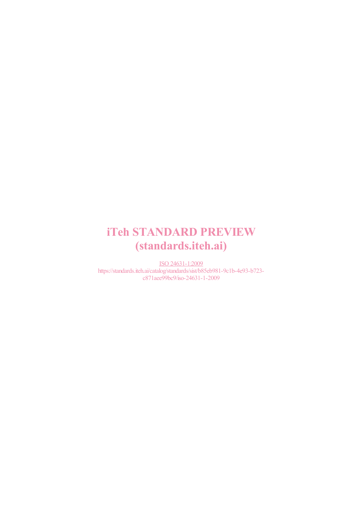## iTeh STANDARD PREVIEW (standards.iteh.ai)

ISO 24631-1:2009 https://standards.iteh.ai/catalog/standards/sist/b85eb981-9c1b-4e93-b723 c871aee99bc9/iso-24631-1-2009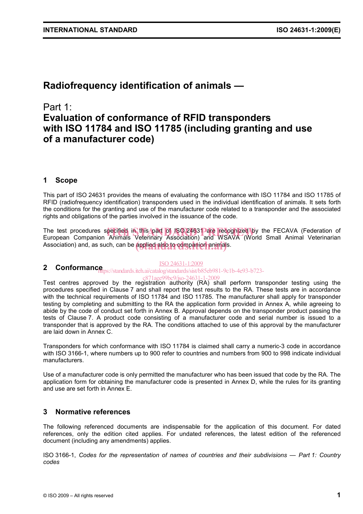### **Radiofrequency identification of animals —**

### Part 1: **Evaluation of conformance of RFID transponders with ISO 11784 and ISO 11785 (including granting and use of a manufacturer code)**

#### **1 Scope**

This part of ISO 24631 provides the means of evaluating the conformance with ISO 11784 and ISO 11785 of RFID (radiofrequency identification) transponders used in the individual identification of animals. It sets forth the conditions for the granting and use of the manufacturer code related to a transponder and the associated rights and obligations of the parties involved in the issuance of the code.

The test procedures specified in this part of ISO 24631 are recognized by the FECAVA (Federation of<br>Furonean Companion Animals Veterinary Association) and WSAVA (World Small Animal Veterinarian European Companion Animals Veterinary Association) and WSAVA (World Small Animal Veterinarian Association) and, as such, can be **applied also to companion anima**ls.

#### ISO 24631-1:2009

### **2** Conformance *CONFORMAGES://standards.iteh.ai/catalog/standards/sist/b85eb981-9c1b-4e93-b723-*

c871aee99bc9/iso-24631-1-2009<br>Test centres approved by the registration authority (RA) shall perform transponder testing using the procedures specified in Clause 7 and shall report the test results to the RA. These tests are in accordance with the technical requirements of ISO 11784 and ISO 11785. The manufacturer shall apply for transponder testing by completing and submitting to the RA the application form provided in Annex A, while agreeing to abide by the code of conduct set forth in Annex B. Approval depends on the transponder product passing the tests of Clause 7. A product code consisting of a manufacturer code and serial number is issued to a transponder that is approved by the RA. The conditions attached to use of this approval by the manufacturer are laid down in Annex C.

Transponders for which conformance with ISO 11784 is claimed shall carry a numeric-3 code in accordance with ISO 3166-1, where numbers up to 900 refer to countries and numbers from 900 to 998 indicate individual manufacturers.

Use of a manufacturer code is only permitted the manufacturer who has been issued that code by the RA. The application form for obtaining the manufacturer code is presented in Annex D, while the rules for its granting and use are set forth in Annex E.

#### **3 Normative references**

The following referenced documents are indispensable for the application of this document. For dated references, only the edition cited applies. For undated references, the latest edition of the referenced document (including any amendments) applies.

ISO 3166-1, *Codes for the representation of names of countries and their subdivisions — Part 1: Country codes*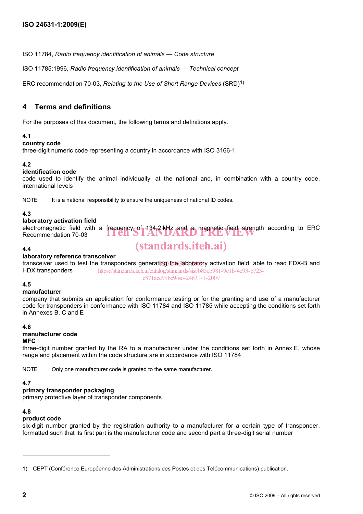ISO 11784, *Radio frequency identification of animals — Code structure*

ISO 11785:1996, *Radio frequency identification of animals — Technical concept* 

ERC recommendation 70-03, *Relating to the Use of Short Range Devices* (SRD)1)

### **4 Terms and definitions**

For the purposes of this document, the following terms and definitions apply.

#### **4.1**

#### **country code**

three-digit numeric code representing a country in accordance with ISO 3166-1

#### **4.2**

#### **identification code**

code used to identify the animal individually, at the national and, in combination with a country code, international levels

NOTE It is a national responsibility to ensure the uniqueness of national ID codes.

#### **4.3**

#### **laboratory activation field**

electromagnetic field with a frequency of 134,2 kHz and a magnetic field strength according to ERC<br>Recommendation 70-03 Recommendation 70-03

(standards.iteh.ai)

#### **4.4**

### **laboratory reference transceiver**

transceiver used to test the transponders generating the laboratory activation field, able to read FDX-B and HDX transponders https://standards.iteh.ai/catalog/standards/sist/b85eb981-9c1b-4e93-b723 c871aee99bc9/iso-24631-1-2009

#### **4.5**

#### **manufacturer**

company that submits an application for conformance testing or for the granting and use of a manufacturer code for transponders in conformance with ISO 11784 and ISO 11785 while accepting the conditions set forth in Annexes B, C and E

#### **4.6**

#### **manufacturer code**

**MFC** 

three-digit number granted by the RA to a manufacturer under the conditions set forth in Annex E, whose range and placement within the code structure are in accordance with ISO 11784

NOTE Only one manufacturer code is granted to the same manufacturer.

#### **4.7**

#### **primary transponder packaging**

primary protective layer of transponder components

#### **4.8**

#### **product code**

six-digit number granted by the registration authority to a manufacturer for a certain type of transponder, formatted such that its first part is the manufacturer code and second part a three-digit serial number

l

<sup>1)</sup> CEPT (Conférence Européenne des Administrations des Postes et des Télécommunications) publication.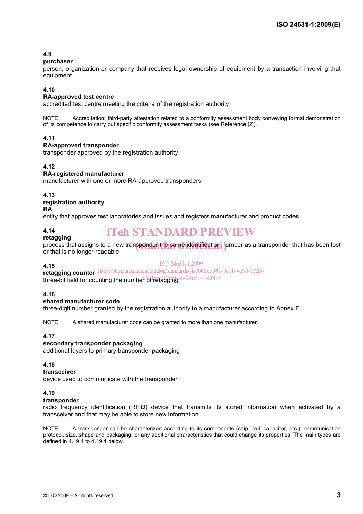#### **4.9**

#### **purchaser**

person, organization or company that receives legal ownership of equipment by a transaction involving that equipment

#### **4.10**

#### **RA-approved test centre**

accredited test centre meeting the criteria of the registration authority

NOTE Accreditation: third-party attestation related to a conformity assessment body conveying formal demonstration of its competence to carry out specific conformity assessment tasks (see Reference [2]).

#### **4.11**

#### **RA-approved transponder**

transponder approved by the registration authority

#### **4.12**

#### **RA-registered manufacturer**

manufacturer with one or more RA-approved transponders

### **4.13**

**registration authority** 

#### **RA**

entity that approves test laboratories and issues and registers manufacturer and product codes

#### **4.14**

### iTeh STANDARD PREVIEW

**retagging**  process that assigns to a new transponder the same identification number as a transponder that has been lost and that is no longer readable. or that is no longer readable

#### **4.15**

ISO 24631-1:2009

**retagging counter** https://standards.iteh.ai/catalog/standards/sist/b85eb981-9c1b-4e93-b723three-bit field for counting the number of retaggings 0-24631-1-2009

#### **4.16**

#### **shared manufacturer code**

three-digit number granted by the registration authority to a manufacturer according to Annex E

NOTE A shared manufacturer code can be granted to more than one manufacturer.

#### **4.17**

#### **secondary transponder packaging**

additional layers to primary transponder packaging

#### **4.18**

#### **transceiver**

device used to communicate with the transponder

#### **4.19**

#### **transponder**

radio frequency identification (RFID) device that transmits its stored information when activated by a transceiver and that may be able to store new information

NOTE A transponder can be characterized according to its components (chip, coil, capacitor, etc.), communication protocol, size, shape and packaging, or any additional characteristics that could change its properties. The main types are defined in 4.19.1 to 4.19.4 below.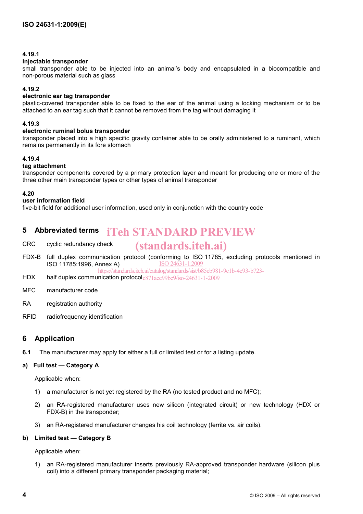#### **4.19.1**

#### **injectable transponder**

small transponder able to be injected into an animal's body and encapsulated in a biocompatible and non-porous material such as glass

#### **4.19.2**

#### **electronic ear tag transponder**

plastic-covered transponder able to be fixed to the ear of the animal using a locking mechanism or to be attached to an ear tag such that it cannot be removed from the tag without damaging it

#### **4.19.3**

#### **electronic ruminal bolus transponder**

transponder placed into a high specific gravity container able to be orally administered to a ruminant, which remains permanently in its fore stomach

#### **4.19.4**

#### **tag attachment**

transponder components covered by a primary protection layer and meant for producing one or more of the three other main transponder types or other types of animal transponder

#### **4.20**

#### **user information field**

five-bit field for additional user information, used only in conjunction with the country code

#### **5 Abbreviated terms**  iTeh STANDARD PREVIEW

CRC cyclic redundancy check

### (standards.iteh.ai)

FDX-B full duplex communication protocol (conforming to ISO 11785, excluding protocols mentioned in ISO 11785:1996, Annex A) ISO 24631-1:2009 https://standards.iteh.ai/catalog/standards/sist/b85eb981-9c1b-4e93-b723-

HDX half duplex communication protocol c871 aee99bc9/iso-24631-1-2009

- MFC manufacturer code
- RA registration authority
- RFID radiofrequency identification

### **6 Application**

**6.1** The manufacturer may apply for either a full or limited test or for a listing update.

#### **a) Full test — Category A**

Applicable when:

- 1) a manufacturer is not yet registered by the RA (no tested product and no MFC);
- 2) an RA-registered manufacturer uses new silicon (integrated circuit) or new technology (HDX or FDX-B) in the transponder;
- 3) an RA-registered manufacturer changes his coil technology (ferrite vs. air coils).

#### **b) Limited test — Category B**

#### Applicable when:

1) an RA-registered manufacturer inserts previously RA-approved transponder hardware (silicon plus coil) into a different primary transponder packaging material;